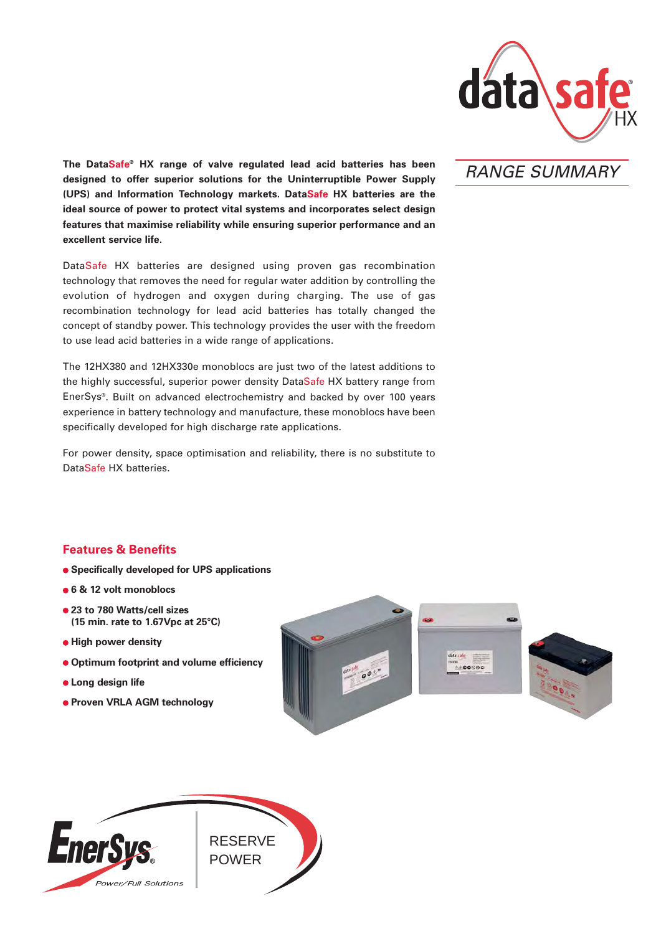

RANGE SUMMARY

**The DataSafe® HX range of valve regulated lead acid batteries has been designed to offer superior solutions for the Uninterruptible Power Supply (UPS) and Information Technology markets. DataSafe HX batteries are the ideal source of power to protect vital systems and incorporates select design features that maximise reliability while ensuring superior performance and an excellent service life.**

DataSafe HX batteries are designed using proven gas recombination technology that removes the need for regular water addition by controlling the evolution of hydrogen and oxygen during charging. The use of gas recombination technology for lead acid batteries has totally changed the concept of standby power. This technology provides the user with the freedom to use lead acid batteries in a wide range of applications.

The 12HX380 and 12HX330e monoblocs are just two of the latest additions to the highly successful, superior power density DataSafe HX battery range from EnerSys®. Built on advanced electrochemistry and backed by over 100 years experience in battery technology and manufacture, these monoblocs have been specifically developed for high discharge rate applications.

For power density, space optimisation and reliability, there is no substitute to DataSafe HX batteries.

# **Features & Benefits**

- **Specifically developed for UPS applications**
- **6 & 12 volt monoblocs**
- **23 to 780 Watts/cell sizes (15 min. rate to 1.67Vpc at 25°C)**
- **High power density**
- **Optimum footprint and volume efficiency**
- **Long design life**
- **Proven VRLA AGM technology**





ERS